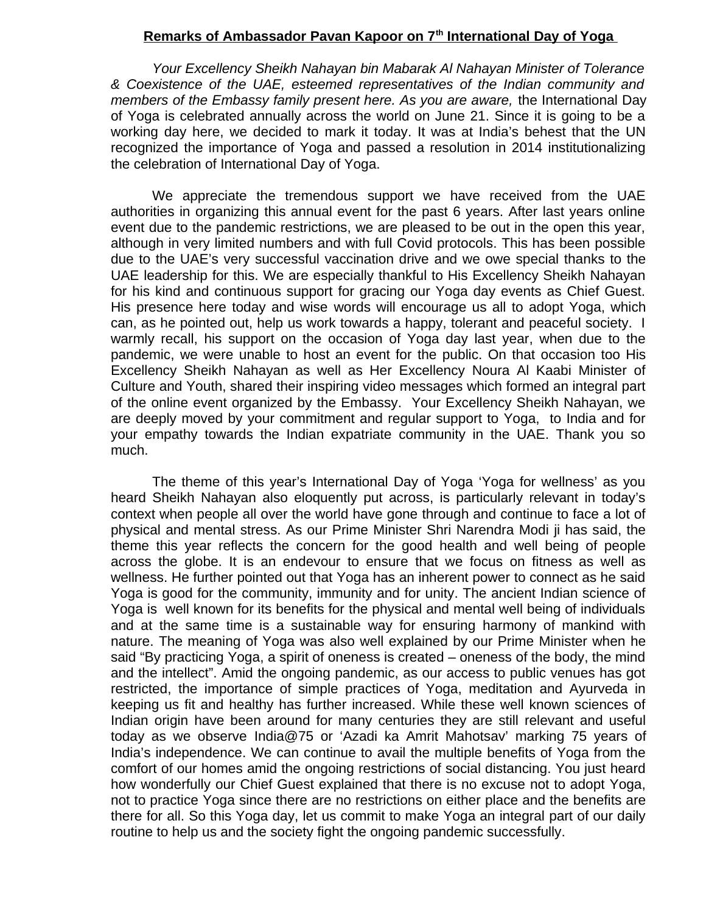## **Remarks of Ambassador Pavan Kapoor on 7th International Day of Yoga**

*Your Excellency Sheikh Nahayan bin Mabarak Al Nahayan Minister of Tolerance & Coexistence of the UAE, esteemed representatives of the Indian community and members of the Embassy family present here. As you are aware,* the International Day of Yoga is celebrated annually across the world on June 21. Since it is going to be a working day here, we decided to mark it today. It was at India's behest that the UN recognized the importance of Yoga and passed a resolution in 2014 institutionalizing the celebration of International Day of Yoga.

We appreciate the tremendous support we have received from the UAE authorities in organizing this annual event for the past 6 years. After last years online event due to the pandemic restrictions, we are pleased to be out in the open this year, although in very limited numbers and with full Covid protocols. This has been possible due to the UAE's very successful vaccination drive and we owe special thanks to the UAE leadership for this. We are especially thankful to His Excellency Sheikh Nahayan for his kind and continuous support for gracing our Yoga day events as Chief Guest. His presence here today and wise words will encourage us all to adopt Yoga, which can, as he pointed out, help us work towards a happy, tolerant and peaceful society. I warmly recall, his support on the occasion of Yoga day last year, when due to the pandemic, we were unable to host an event for the public. On that occasion too His Excellency Sheikh Nahayan as well as Her Excellency Noura Al Kaabi Minister of Culture and Youth, shared their inspiring video messages which formed an integral part of the online event organized by the Embassy. Your Excellency Sheikh Nahayan, we are deeply moved by your commitment and regular support to Yoga, to India and for your empathy towards the Indian expatriate community in the UAE. Thank you so much.

The theme of this year's International Day of Yoga 'Yoga for wellness' as you heard Sheikh Nahayan also eloquently put across, is particularly relevant in today's context when people all over the world have gone through and continue to face a lot of physical and mental stress. As our Prime Minister Shri Narendra Modi ji has said, the theme this year reflects the concern for the good health and well being of people across the globe. It is an endevour to ensure that we focus on fitness as well as wellness. He further pointed out that Yoga has an inherent power to connect as he said Yoga is good for the community, immunity and for unity. The ancient Indian science of Yoga is well known for its benefits for the physical and mental well being of individuals and at the same time is a sustainable way for ensuring harmony of mankind with nature. The meaning of Yoga was also well explained by our Prime Minister when he said "By practicing Yoga, a spirit of oneness is created – oneness of the body, the mind and the intellect". Amid the ongoing pandemic, as our access to public venues has got restricted, the importance of simple practices of Yoga, meditation and Ayurveda in keeping us fit and healthy has further increased. While these well known sciences of Indian origin have been around for many centuries they are still relevant and useful today as we observe [India@75](mailto:India@75) or 'Azadi ka Amrit Mahotsav' marking 75 years of India's independence. We can continue to avail the multiple benefits of Yoga from the comfort of our homes amid the ongoing restrictions of social distancing. You just heard how wonderfully our Chief Guest explained that there is no excuse not to adopt Yoga, not to practice Yoga since there are no restrictions on either place and the benefits are there for all. So this Yoga day, let us commit to make Yoga an integral part of our daily routine to help us and the society fight the ongoing pandemic successfully.